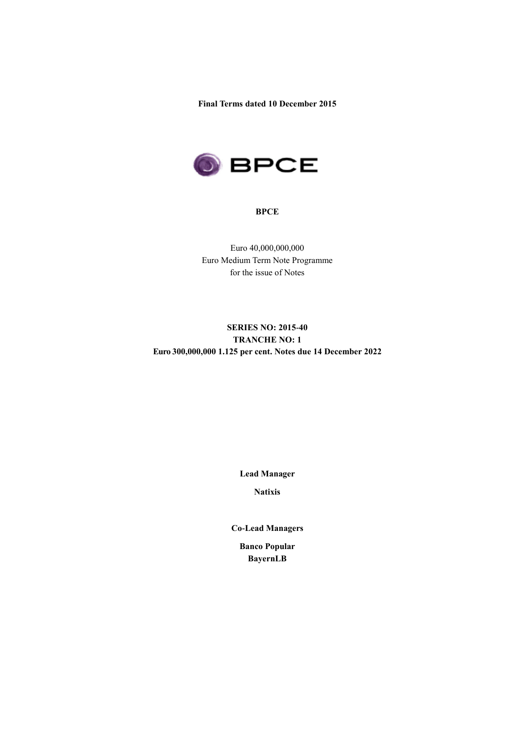**Final Terms dated 10 December 2015**



#### **BPCE**

Euro 40,000,000,000 Euro Medium Term Note Programme for the issue of Notes

# **SERIES NO: 2015-40 TRANCHE NO: 1 Euro 300,000,000 1.125 per cent. Notes due 14 December 2022**

**Lead Manager**

**Natixis**

**Co-Lead Managers**

**Banco Popular BayernLB**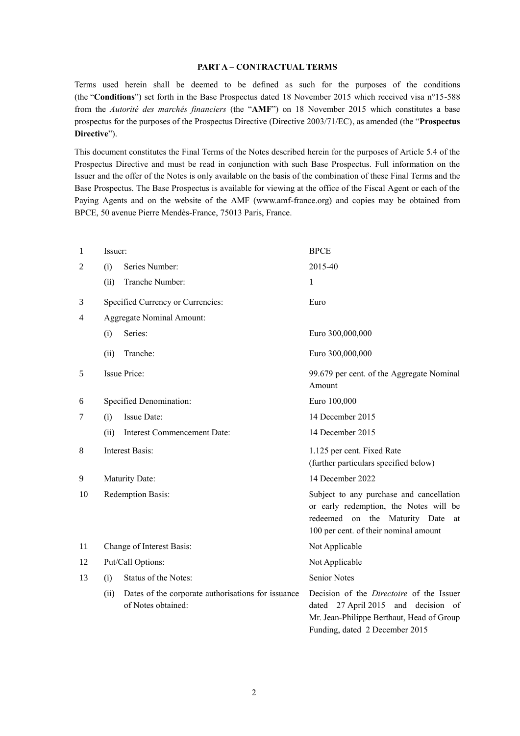### **PART A – CONTRACTUAL TERMS**

Terms used herein shall be deemed to be defined as such for the purposes of the conditions (the "**Conditions**") set forth in the Base Prospectus dated 18 November 2015 which received visa n°15-588 from the *Autorité des marchés financiers* (the "**AMF**") on 18 November 2015 which constitutes a base prospectus for the purposes of the Prospectus Directive (Directive 2003/71/EC), as amended (the "**Prospectus Directive**").

This document constitutes the Final Terms of the Notes described herein for the purposes of Article 5.4 of the Prospectus Directive and must be read in conjunction with such Base Prospectus. Full information on the Issuer and the offer of the Notes is only available on the basis of the combination of these Final Terms and the Base Prospectus. The Base Prospectus is available for viewing at the office of the Fiscal Agent or each of the Paying Agents and on the website of the AMF (www.amf-france.org) and copies may be obtained from BPCE, 50 avenue Pierre Mendès-France, 75013 Paris, France.

| 1  | Issuer:           |                                                                          | <b>BPCE</b>                                                                                                                                                           |  |  |
|----|-------------------|--------------------------------------------------------------------------|-----------------------------------------------------------------------------------------------------------------------------------------------------------------------|--|--|
| 2  | (i)               | Series Number:                                                           | 2015-40                                                                                                                                                               |  |  |
|    | (ii)              | Tranche Number:                                                          | 1                                                                                                                                                                     |  |  |
| 3  |                   | Specified Currency or Currencies:                                        | Euro                                                                                                                                                                  |  |  |
| 4  |                   | <b>Aggregate Nominal Amount:</b>                                         |                                                                                                                                                                       |  |  |
|    | (i)               | Series:                                                                  | Euro 300,000,000                                                                                                                                                      |  |  |
|    | (ii)              | Tranche:                                                                 | Euro 300,000,000                                                                                                                                                      |  |  |
| 5  |                   | Issue Price:                                                             | 99.679 per cent. of the Aggregate Nominal<br>Amount                                                                                                                   |  |  |
| 6  |                   | Specified Denomination:                                                  | Euro 100,000                                                                                                                                                          |  |  |
| 7  | (i)               | Issue Date:                                                              | 14 December 2015                                                                                                                                                      |  |  |
|    | (ii)              | Interest Commencement Date:                                              | 14 December 2015                                                                                                                                                      |  |  |
| 8  |                   | <b>Interest Basis:</b>                                                   | 1.125 per cent. Fixed Rate<br>(further particulars specified below)                                                                                                   |  |  |
| 9  |                   | Maturity Date:                                                           | 14 December 2022                                                                                                                                                      |  |  |
| 10 |                   | Redemption Basis:                                                        | Subject to any purchase and cancellation<br>or early redemption, the Notes will be<br>redeemed on the Maturity Date<br>at<br>100 per cent. of their nominal amount    |  |  |
| 11 |                   | Change of Interest Basis:                                                | Not Applicable                                                                                                                                                        |  |  |
| 12 | Put/Call Options: |                                                                          | Not Applicable                                                                                                                                                        |  |  |
| 13 | (i)               | Status of the Notes:                                                     | <b>Senior Notes</b>                                                                                                                                                   |  |  |
|    | (ii)              | Dates of the corporate authorisations for issuance<br>of Notes obtained: | Decision of the <i>Directoire</i> of the Issuer<br>dated 27 April 2015 and decision of<br>Mr. Jean-Philippe Berthaut, Head of Group<br>Funding, dated 2 December 2015 |  |  |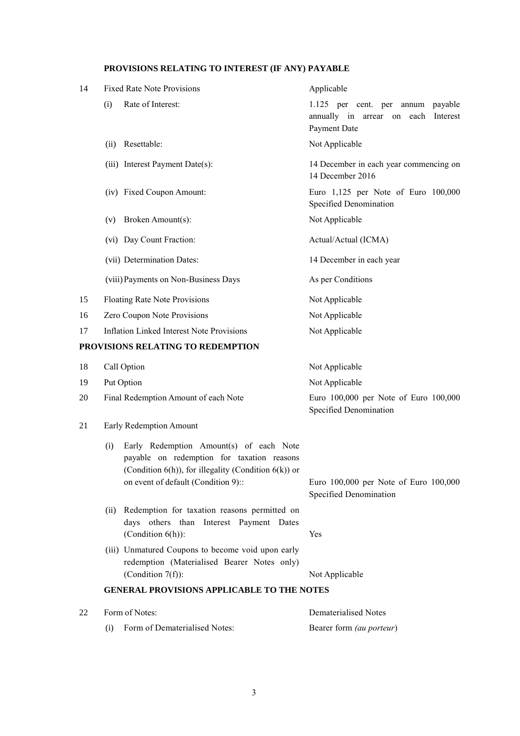## **PROVISIONS RELATING TO INTEREST (IF ANY) PAYABLE**

| 14 | <b>Fixed Rate Note Provisions</b>                                                                                                                                                           | Applicable                                                                               |  |  |
|----|---------------------------------------------------------------------------------------------------------------------------------------------------------------------------------------------|------------------------------------------------------------------------------------------|--|--|
|    | Rate of Interest:<br>(i)                                                                                                                                                                    | 1.125 per cent. per annum payable<br>annually in arrear on each Interest<br>Payment Date |  |  |
|    | Resettable:<br>(ii)                                                                                                                                                                         | Not Applicable                                                                           |  |  |
|    | (iii) Interest Payment Date(s):                                                                                                                                                             | 14 December in each year commencing on<br>14 December 2016                               |  |  |
|    | (iv) Fixed Coupon Amount:                                                                                                                                                                   | Euro 1,125 per Note of Euro 100,000<br>Specified Denomination                            |  |  |
|    | Broken Amount(s):<br>(v)                                                                                                                                                                    | Not Applicable                                                                           |  |  |
|    | (vi) Day Count Fraction:                                                                                                                                                                    | Actual/Actual (ICMA)                                                                     |  |  |
|    | (vii) Determination Dates:                                                                                                                                                                  | 14 December in each year                                                                 |  |  |
|    | (viii) Payments on Non-Business Days                                                                                                                                                        | As per Conditions                                                                        |  |  |
| 15 | <b>Floating Rate Note Provisions</b>                                                                                                                                                        | Not Applicable                                                                           |  |  |
| 16 | Zero Coupon Note Provisions                                                                                                                                                                 | Not Applicable                                                                           |  |  |
| 17 | <b>Inflation Linked Interest Note Provisions</b>                                                                                                                                            | Not Applicable                                                                           |  |  |
|    | PROVISIONS RELATING TO REDEMPTION                                                                                                                                                           |                                                                                          |  |  |
| 18 | Call Option                                                                                                                                                                                 | Not Applicable                                                                           |  |  |
| 19 | Put Option                                                                                                                                                                                  | Not Applicable                                                                           |  |  |
| 20 | Final Redemption Amount of each Note                                                                                                                                                        | Euro 100,000 per Note of Euro 100,000<br>Specified Denomination                          |  |  |
| 21 | Early Redemption Amount                                                                                                                                                                     |                                                                                          |  |  |
|    | Early Redemption Amount(s) of each Note<br>(i)<br>payable on redemption for taxation reasons<br>(Condition 6(h)), for illegality (Condition 6(k)) or<br>on event of default (Condition 9):: | Euro 100,000 per Note of Euro 100,000                                                    |  |  |
|    |                                                                                                                                                                                             | Specified Denomination                                                                   |  |  |
|    | Redemption for taxation reasons permitted on<br>(ii)<br>days others than Interest Payment Dates<br>(Condition $6(h)$ ):                                                                     | Yes                                                                                      |  |  |
|    | (iii) Unmatured Coupons to become void upon early<br>redemption (Materialised Bearer Notes only)<br>(Condition $7(f)$ ):                                                                    | Not Applicable                                                                           |  |  |
|    | <b>GENERAL PROVISIONS APPLICABLE TO THE NOTES</b>                                                                                                                                           |                                                                                          |  |  |
| 22 | Form of Notes:                                                                                                                                                                              | <b>Dematerialised Notes</b>                                                              |  |  |

| (i) Form of Dematerialised Notes: | Bearer form <i>(au porteur)</i> |
|-----------------------------------|---------------------------------|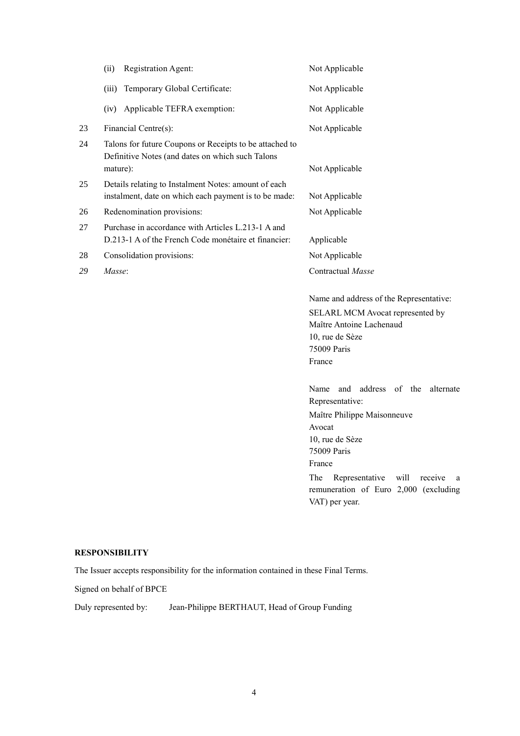|    | Registration Agent:<br>(ii)                                                                                             | Not Applicable                                                                                                                                                                                                                                                 |
|----|-------------------------------------------------------------------------------------------------------------------------|----------------------------------------------------------------------------------------------------------------------------------------------------------------------------------------------------------------------------------------------------------------|
|    | (iii)<br>Temporary Global Certificate:                                                                                  | Not Applicable                                                                                                                                                                                                                                                 |
|    | (iv)<br>Applicable TEFRA exemption:                                                                                     | Not Applicable                                                                                                                                                                                                                                                 |
| 23 | Financial Centre(s):                                                                                                    | Not Applicable                                                                                                                                                                                                                                                 |
| 24 | Talons for future Coupons or Receipts to be attached to<br>Definitive Notes (and dates on which such Talons<br>mature): | Not Applicable                                                                                                                                                                                                                                                 |
| 25 | Details relating to Instalment Notes: amount of each<br>instalment, date on which each payment is to be made:           | Not Applicable                                                                                                                                                                                                                                                 |
| 26 | Redenomination provisions:                                                                                              | Not Applicable                                                                                                                                                                                                                                                 |
| 27 | Purchase in accordance with Articles L.213-1 A and<br>D.213-1 A of the French Code monétaire et financier:              | Applicable                                                                                                                                                                                                                                                     |
| 28 | Consolidation provisions:                                                                                               | Not Applicable                                                                                                                                                                                                                                                 |
| 29 | Masse:                                                                                                                  | Contractual Masse                                                                                                                                                                                                                                              |
|    |                                                                                                                         | Name and address of the Representative:<br>SELARL MCM Avocat represented by<br>Maître Antoine Lachenaud<br>10, rue de Sèze<br>75009 Paris<br>France                                                                                                            |
|    |                                                                                                                         | Name<br>and<br>address of the<br>alternate<br>Representative:<br>Maître Philippe Maisonneuve<br>Avocat<br>10, rue de Sèze<br>75009 Paris<br>France<br>The<br>Representative<br>will<br>receive<br>a<br>remuneration of Euro 2,000 (excluding<br>VAT) per year. |

# **RESPONSIBILITY**

The Issuer accepts responsibility for the information contained in these Final Terms.

Signed on behalf of BPCE

Duly represented by: Jean-Philippe BERTHAUT, Head of Group Funding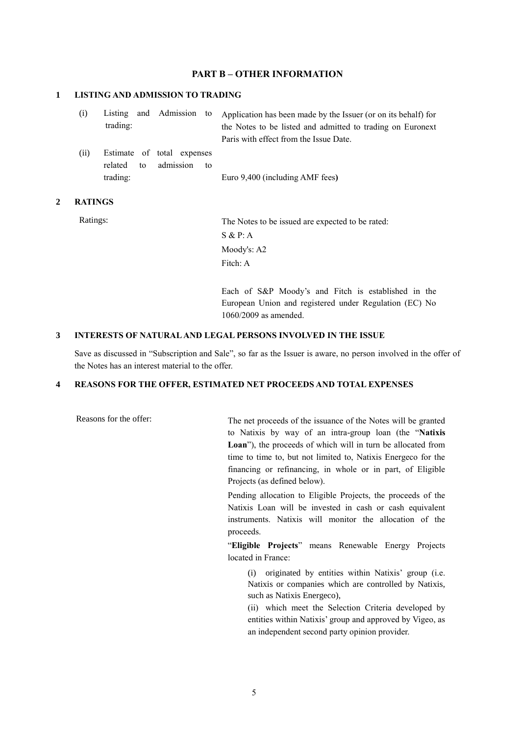## **PART B – OTHER INFORMATION**

## **1 LISTING AND ADMISSION TO TRADING**

| (i) |          |  | Listing and Admission to Application has been made by the Issuer (or on its behalf) for |
|-----|----------|--|-----------------------------------------------------------------------------------------|
|     | trading: |  | the Notes to be listed and admitted to trading on Euronext                              |
|     |          |  | Paris with effect from the Issue Date.                                                  |

(ii) Estimate of total expenses related to admission to trading: Euro 9,400 (including AMF fees**)**

#### **2 RATINGS**

Ratings: The Notes to be issued are expected to be rated: S & P: A Moody's: A2 Fitch: A

> Each of S&P Moody's and Fitch is established in the European Union and registered under Regulation (EC) No 1060/2009 as amended.

#### **3 INTERESTS OF NATURAL AND LEGAL PERSONS INVOLVED IN THE ISSUE**

Save as discussed in "Subscription and Sale", so far as the Issuer is aware, no person involved in the offer of the Notes has an interest material to the offer.

## **4 REASONS FOR THE OFFER, ESTIMATED NET PROCEEDS AND TOTAL EXPENSES**

Reasons for the offer: The net proceeds of the issuance of the Notes will be granted to Natixis by way of an intra-group loan (the "**Natixis Loan**"), the proceeds of which will in turn be allocated from time to time to, but not limited to, Natixis Energeco for the financing or refinancing, in whole or in part, of Eligible Projects (as defined below).

> Pending allocation to Eligible Projects, the proceeds of the Natixis Loan will be invested in cash or cash equivalent instruments. Natixis will monitor the allocation of the proceeds.

> "**Eligible Projects**" means Renewable Energy Projects located in France:

(i) originated by entities within Natixis' group (i.e. Natixis or companies which are controlled by Natixis, such as Natixis Energeco),

(ii) which meet the Selection Criteria developed by entities within Natixis' group and approved by Vigeo, as an independent second party opinion provider.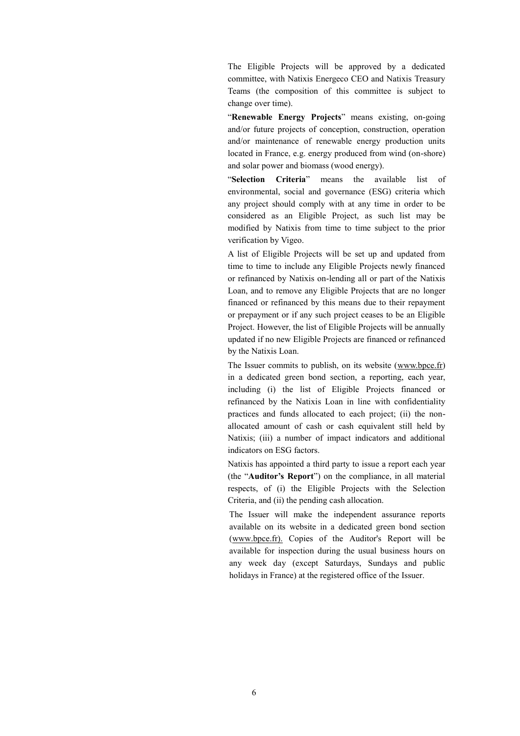The Eligible Projects will be approved by a dedicated committee, with Natixis Energeco CEO and Natixis Treasury Teams (the composition of this committee is subject to change over time).

"**Renewable Energy Projects**" means existing, on-going and/or future projects of conception, construction, operation and/or maintenance of renewable energy production units located in France, e.g. energy produced from wind (on-shore) and solar power and biomass (wood energy).

"**Selection Criteria**" means the available list of environmental, social and governance (ESG) criteria which any project should comply with at any time in order to be considered as an Eligible Project, as such list may be modified by Natixis from time to time subject to the prior verification by Vigeo.

A list of Eligible Projects will be set up and updated from time to time to include any Eligible Projects newly financed or refinanced by Natixis on-lending all or part of the Natixis Loan, and to remove any Eligible Projects that are no longer financed or refinanced by this means due to their repayment or prepayment or if any such project ceases to be an Eligible Project. However, the list of Eligible Projects will be annually updated if no new Eligible Projects are financed or refinanced by the Natixis Loan.

The Issuer commits to publish, on its website (www.bpce.fr) in a dedicated green bond section, a reporting, each year, including (i) the list of Eligible Projects financed or refinanced by the Natixis Loan in line with confidentiality practices and funds allocated to each project; (ii) the nonallocated amount of cash or cash equivalent still held by Natixis; (iii) a number of impact indicators and additional indicators on ESG factors.

Natixis has appointed a third party to issue a report each year (the "**Auditor's Report**") on the compliance, in all material respects, of (i) the Eligible Projects with the Selection Criteria, and (ii) the pending cash allocation.

The Issuer will make the independent assurance reports available on its website in a dedicated green bond section (www.bpce.fr). Copies of the Auditor's Report will be available for inspection during the usual business hours on any week day (except Saturdays, Sundays and public holidays in France) at the registered office of the Issuer.